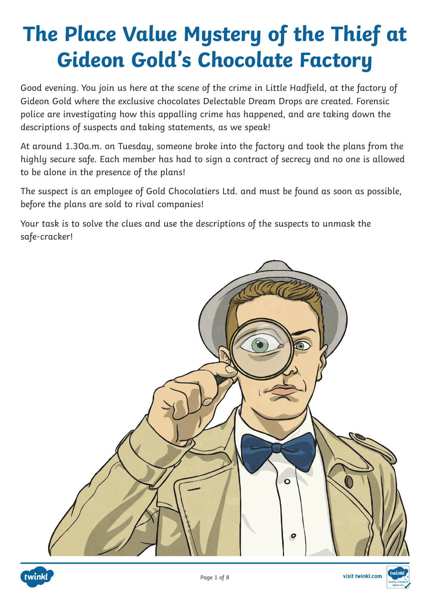Good evening. You join us here at the scene of the crime in Little Hadfield, at the factory of Gideon Gold where the exclusive chocolates Delectable Dream Drops are created. Forensic police are investigating how this appalling crime has happened, and are taking down the descriptions of suspects and taking statements, as we speak!

At around 1.30a.m. on Tuesday, someone broke into the factory and took the plans from the highly secure safe. Each member has had to sign a contract of secrecy and no one is allowed to be alone in the presence of the plans!

The suspect is an employee of Gold Chocolatiers Ltd. and must be found as soon as possible, before the plans are sold to rival companies!

Your task is to solve the clues and use the descriptions of the suspects to unmask the safe-cracker!





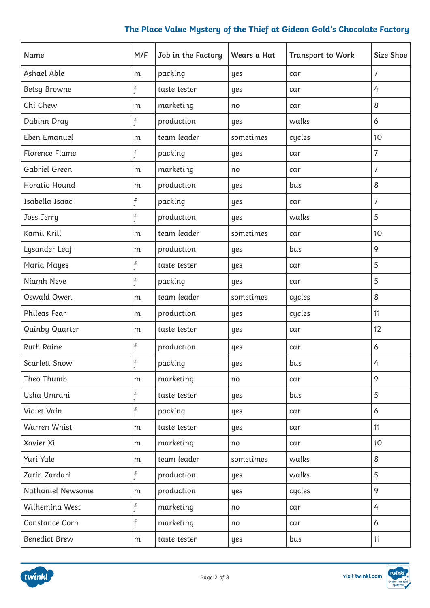| Name                  | M/F          | Job in the Factory | Wears a Hat | <b>Transport to Work</b> | Size Shoe      |
|-----------------------|--------------|--------------------|-------------|--------------------------|----------------|
| Ashael Able           | m            | packing            | yes         | car                      | $\overline{7}$ |
| <b>Betsy Browne</b>   | f            | taste tester       | yes         | car                      | 4              |
| Chi Chew              | m            | marketing          | no          | car                      | 8              |
| Dabinn Dray           | $\mathbf{f}$ | production         | yes         | walks                    | 6              |
| Eben Emanuel          | m            | team leader        | sometimes   | cycles                   | 10             |
| <b>Florence Flame</b> | f            | packing            | yes         | car                      | $\overline{7}$ |
| Gabriel Green         | m            | marketing          | no          | car                      | 7              |
| Horatio Hound         | m            | production         | yes         | bus                      | 8              |
| Isabella Isaac        | f            | packing            | yes         | car                      | 7              |
| Joss Jerry            | f            | production         | yes         | walks                    | 5              |
| Kamil Krill           | m            | team leader        | sometimes   | car                      | 10             |
| Lysander Leaf         | m            | production         | yes         | bus                      | 9              |
| Maria Mayes           | f            | taste tester       | yes         | car                      | 5              |
| Niamh Neve            | f            | packing            | yes         | car                      | 5              |
| Oswald Owen           | m            | team leader        | sometimes   | cycles                   | 8              |
| Phileas Fear          | m            | production         | yes         | cycles                   | 11             |
| Quinby Quarter        | m            | taste tester       | yes         | car                      | 12             |
| <b>Ruth Raine</b>     | $\mathbf{f}$ | production         | yes         | car                      | 6              |
| Scarlett Snow         | f            | packing            | yes         | bus                      | 4              |
| Theo Thumb            | m            | marketing          | no          | car                      | 9              |
| Usha Umrani           | f            | taste tester       | yes         | bus                      | 5              |
| Violet Vain           | f            | packing            | yes         | car                      | 6              |
| Warren Whist          | m            | taste tester       | yes         | car                      | 11             |
| Xavier Xi             | m            | marketing          | no          | car                      | 10             |
| Yuri Yale             | m            | team leader        | sometimes   | walks                    | 8              |
| Zarin Zardari         | f            | production         | yes         | walks                    | 5              |
| Nathaniel Newsome     | m            | production         | yes         | cycles                   | 9              |
| Wilhemina West        | f            | marketing          | no          | car                      | 4              |
| <b>Constance Corn</b> | f            | marketing          | no          | car                      | 6              |
| <b>Benedict Brew</b>  | m            | taste tester       | yes         | bus                      | 11             |

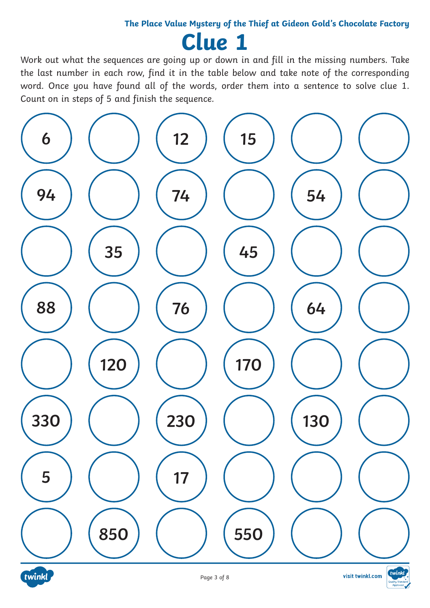**Clue 1**

Work out what the sequences are going up or down in and fill in the missing numbers. Take the last number in each row, find it in the table below and take note of the corresponding word. Once you have found all of the words, order them into a sentence to solve clue 1. Count on in steps of 5 and finish the sequence.



visit twinkl.com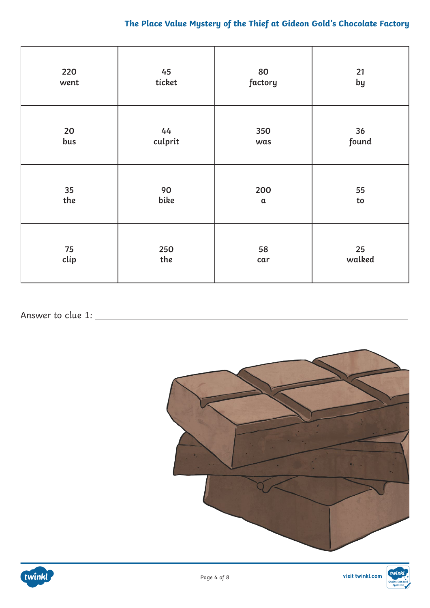| 220  | 45            | 80            | 21         |
|------|---------------|---------------|------------|
| went | ticket        | factory       | by         |
| 20   | 44<br>culprit | 350           | 36         |
| bus  |               | was           | found      |
| 35   | 90            | 200           | 55         |
| the  | bike          | $\mathfrak a$ | ${\sf to}$ |
| 75   | 250           | 58            | 25         |
| clip | the           | car           | walked     |

### Answer to clue 1:





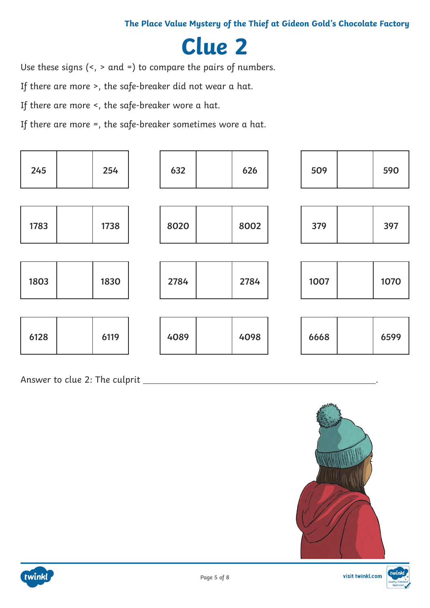### **Clue 2**

Use these signs (<, > and =) to compare the pairs of numbers.

If there are more >, the safe-breaker did not wear a hat.

If there are more <, the safe-breaker wore a hat.

If there are more =, the safe-breaker sometimes wore a hat.

| 245  | 254  | 632  | 626  | 509  | 590  |
|------|------|------|------|------|------|
|      |      |      |      |      |      |
| 1783 | 1738 | 8020 | 8002 | 379  | 397  |
|      |      |      |      |      |      |
| 1803 | 1830 | 2784 | 2784 | 1007 | 1070 |
|      |      |      |      |      |      |
| 6128 | 6119 | 4089 | 4098 | 6668 | 6599 |

Answer to clue 2: The culprit .





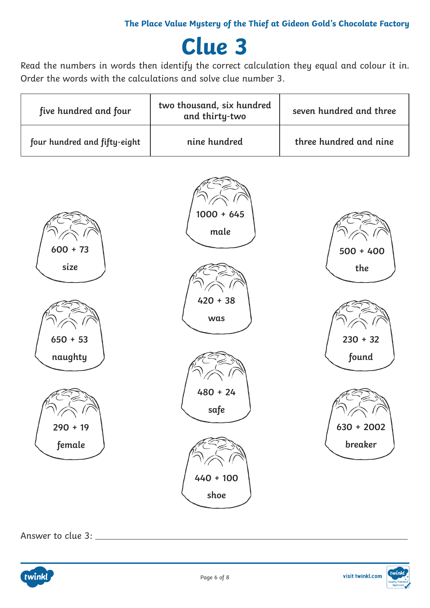## **Clue 3**

Read the numbers in words then identify the correct calculation they equal and colour it in. Order the words with the calculations and solve clue number 3.

| five hundred and four                                               | two thousand, six hundred<br>and thirty-two                                            | seven hundred and three                                              |
|---------------------------------------------------------------------|----------------------------------------------------------------------------------------|----------------------------------------------------------------------|
| four hundred and fifty-eight                                        | nine hundred                                                                           | three hundred and nine                                               |
| $600 + 73$<br>size<br>$650 + 53$<br>naughty<br>$290 + 19$<br>female | $1000 + 645$<br>male<br>$420 + 38$<br>was<br>$480 + 24$<br>safe<br>$440 + 100$<br>shoe | $500 + 400$<br>the<br>$230 + 32$<br>found<br>$630 + 2002$<br>breaker |

Answer to clue 3:



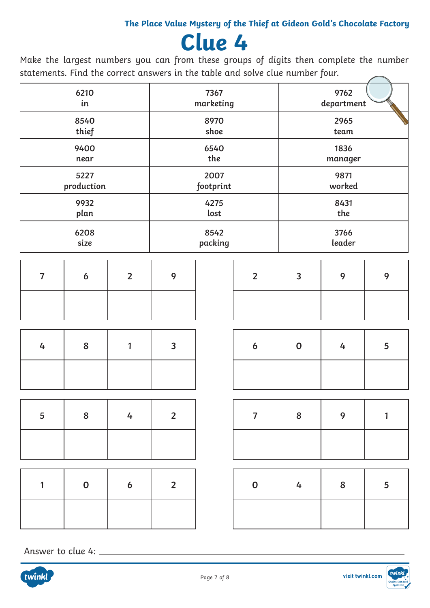## **Clue 4**

Make the largest numbers you can from these groups of digits then complete the number statements. Find the correct answers in the table and solve clue number four.

|                | 6210           |                  |                | 7367      |                  |                | 9762          |              |
|----------------|----------------|------------------|----------------|-----------|------------------|----------------|---------------|--------------|
|                | in             |                  |                | marketing |                  |                | department    |              |
|                | 8540           |                  |                | 8970      |                  |                | 2965          |              |
|                | thief          |                  |                | shoe      |                  |                | $\,\rm{team}$ |              |
|                | 9400           |                  |                | 6540      |                  |                | 1836          |              |
|                | near           |                  |                | the       |                  |                | manager       |              |
|                | 5227           |                  |                | 2007      |                  |                | 9871          |              |
|                | production     |                  |                | footprint |                  |                | worked        |              |
|                | 9932           |                  |                | 4275      |                  |                | 8431          |              |
|                | plan           |                  |                | lost      |                  |                | the           |              |
|                | 6208           |                  |                | 8542      |                  |                | 3766          |              |
|                | size           |                  |                | packing   |                  |                | leader        |              |
|                |                |                  |                |           |                  |                |               |              |
| $\overline{7}$ | 6              | $\overline{2}$   | 9              |           | $\overline{2}$   | $\overline{3}$ | 9             | 9            |
|                |                |                  |                |           |                  |                |               |              |
|                |                |                  |                |           |                  |                |               |              |
| 4              | 8              | 1                | $\overline{3}$ |           | $\boldsymbol{6}$ | $\mathbf 0$    | 4             | 5            |
|                |                |                  |                |           |                  |                |               |              |
|                |                |                  |                |           |                  |                |               |              |
| 5              | $8\phantom{1}$ | $4\overline{ }$  | $\overline{2}$ |           | $\overline{7}$   | 8              | 9             | $\mathbf{1}$ |
|                |                |                  |                |           |                  |                |               |              |
|                |                |                  |                |           |                  |                |               |              |
| 1              | $\mathbf 0$    | $\boldsymbol{6}$ | $\overline{2}$ |           | $\mathbf 0$      | 4              | ${\bf 8}$     | 5            |
|                |                |                  |                |           |                  |                |               |              |

Answer to clue 4: \_\_\_\_\_\_\_\_\_\_\_\_\_\_

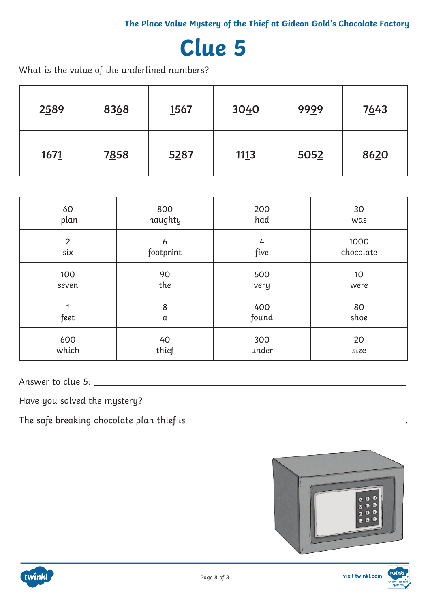### **Clue 5**

What is the value of the underlined numbers?

| 2589 | 8368 | 1567 | 3040 | 9999 | 7643 |
|------|------|------|------|------|------|
| 1671 | 7858 | 5287 | 1113 | 5052 | 8620 |

| 60             | 800       | 200   | 30              |
|----------------|-----------|-------|-----------------|
| plan           | naughty   | had   | was             |
| $\overline{2}$ | 6         | 4     | 1000            |
| six            | footprint | five  | chocolate       |
| 100            | 90        | 500   | 10 <sup>°</sup> |
| seven          | the       | very  | were            |
| feet           | 8         | 400   | 80              |
|                | α         | found | shoe            |
| 600            | 40        | 300   | 20              |
| which          | thief     | under | size            |

Answer to clue 5:

Have you solved the mystery?

The safe breaking chocolate plan thief is .



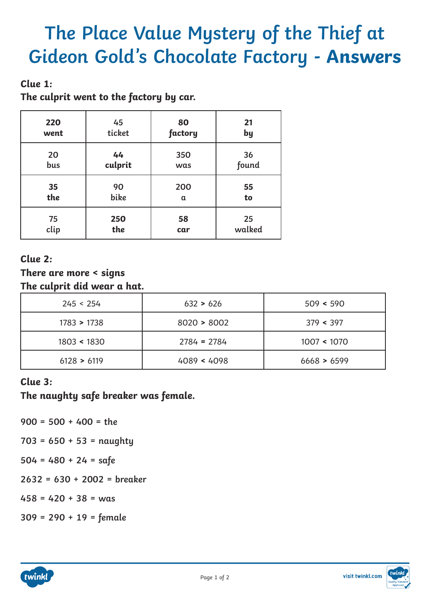### **Clue 1:**

**The culprit went to the factory by car.**

| 220  | 45      | 80       | 21     |
|------|---------|----------|--------|
| went | ticket  | factory  | by     |
| 20   | 44      | 350      | 36     |
| bus  | culprit | was      | found  |
| 35   | 90      | 200      | 55     |
| the  | bike    | $\alpha$ | to     |
| 75   | 250     | 58       | 25     |
| clip | the     | car      | walked |

### **Clue 2:**

**There are more < signs The culprit did wear a hat.**

| 245 < 254          | 632 > 626     | 509 < 590   |
|--------------------|---------------|-------------|
| $1783 \times 1738$ | 8020 > 8002   | 379 < 397   |
| 1803 < 1830        | $2784 = 2784$ | 1007 < 1070 |
| 6128 > 6119        | 4089 < 4098   | 6668 > 6599 |

### **Clue 3:**

**The naughty safe breaker was female.**

- **900 = 500 + 400 = the**
- **703 = 650 + 53 = naughty**
- **504 = 480 + 24 = safe**
- **2632 = 630 + 2002 = breaker**
- **458 = 420 + 38 = was**
- **309 = 290 + 19 = female**